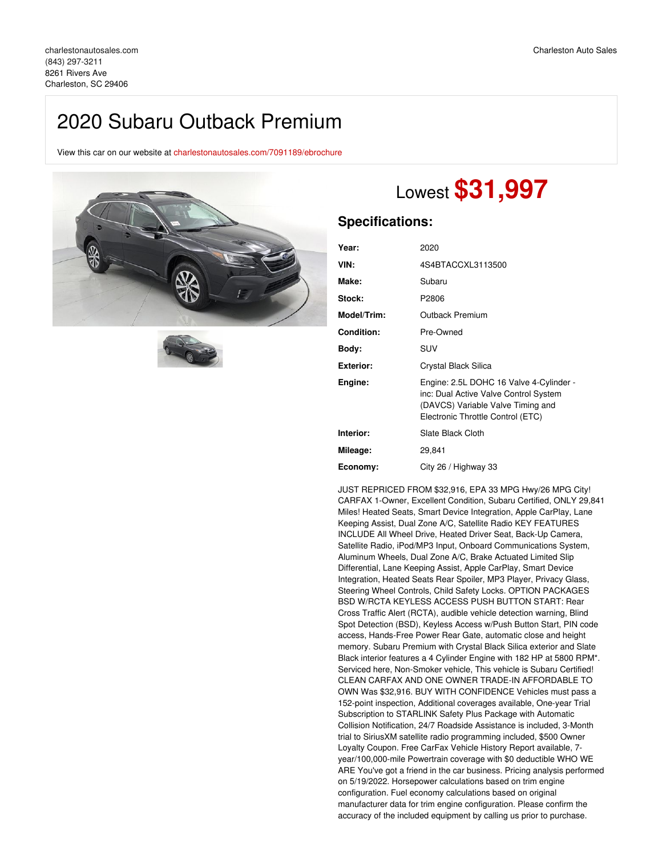## 2020 Subaru Outback Premium

View this car on our website at [charlestonautosales.com/7091189/ebrochure](https://charlestonautosales.com/vehicle/7091189/2020-subaru-outback-premium-charleston-sc-29406/7091189/ebrochure)





# Lowest **\$31,997**

### **Specifications:**

| Year:             | 2020                                                                                                                                                       |
|-------------------|------------------------------------------------------------------------------------------------------------------------------------------------------------|
| VIN:              | 4S4BTACCXL3113500                                                                                                                                          |
| Make:             | Subaru                                                                                                                                                     |
| Stock:            | P2806                                                                                                                                                      |
| Model/Trim:       | Outback Premium                                                                                                                                            |
| <b>Condition:</b> | Pre-Owned                                                                                                                                                  |
| Body:             | SUV                                                                                                                                                        |
| <b>Exterior:</b>  | Crystal Black Silica                                                                                                                                       |
| Engine:           | Engine: 2.5L DOHC 16 Valve 4-Cylinder -<br>inc: Dual Active Valve Control System<br>(DAVCS) Variable Valve Timing and<br>Electronic Throttle Control (ETC) |
| Interior:         | Slate Black Cloth                                                                                                                                          |
| Mileage:          | 29,841                                                                                                                                                     |
| Economy:          | City 26 / Highway 33                                                                                                                                       |

JUST REPRICED FROM \$32,916, EPA 33 MPG Hwy/26 MPG City! CARFAX 1-Owner, Excellent Condition, Subaru Certified, ONLY 29,841 Miles! Heated Seats, Smart Device Integration, Apple CarPlay, Lane Keeping Assist, Dual Zone A/C, Satellite Radio KEY FEATURES INCLUDE All Wheel Drive, Heated Driver Seat, Back-Up Camera, Satellite Radio, iPod/MP3 Input, Onboard Communications System, Aluminum Wheels, Dual Zone A/C, Brake Actuated Limited Slip Differential, Lane Keeping Assist, Apple CarPlay, Smart Device Integration, Heated Seats Rear Spoiler, MP3 Player, Privacy Glass, Steering Wheel Controls, Child Safety Locks. OPTION PACKAGES BSD W/RCTA KEYLESS ACCESS PUSH BUTTON START: Rear Cross Traffic Alert (RCTA), audible vehicle detection warning, Blind Spot Detection (BSD), Keyless Access w/Push Button Start, PIN code access, Hands-Free Power Rear Gate, automatic close and height memory. Subaru Premium with Crystal Black Silica exterior and Slate Black interior features a 4 Cylinder Engine with 182 HP at 5800 RPM\*. Serviced here, Non-Smoker vehicle, This vehicle is Subaru Certified! CLEAN CARFAX AND ONE OWNER TRADE-IN AFFORDABLE TO OWN Was \$32,916. BUY WITH CONFIDENCE Vehicles must pass a 152-point inspection, Additional coverages available, One-year Trial Subscription to STARLINK Safety Plus Package with Automatic Collision Notification, 24/7 Roadside Assistance is included, 3-Month trial to SiriusXM satellite radio programming included, \$500 Owner Loyalty Coupon. Free CarFax Vehicle History Report available, 7 year/100,000-mile Powertrain coverage with \$0 deductible WHO WE ARE You've got a friend in the car business. Pricing analysis performed on 5/19/2022. Horsepower calculations based on trim engine configuration. Fuel economy calculations based on original manufacturer data for trim engine configuration. Please confirm the accuracy of the included equipment by calling us prior to purchase.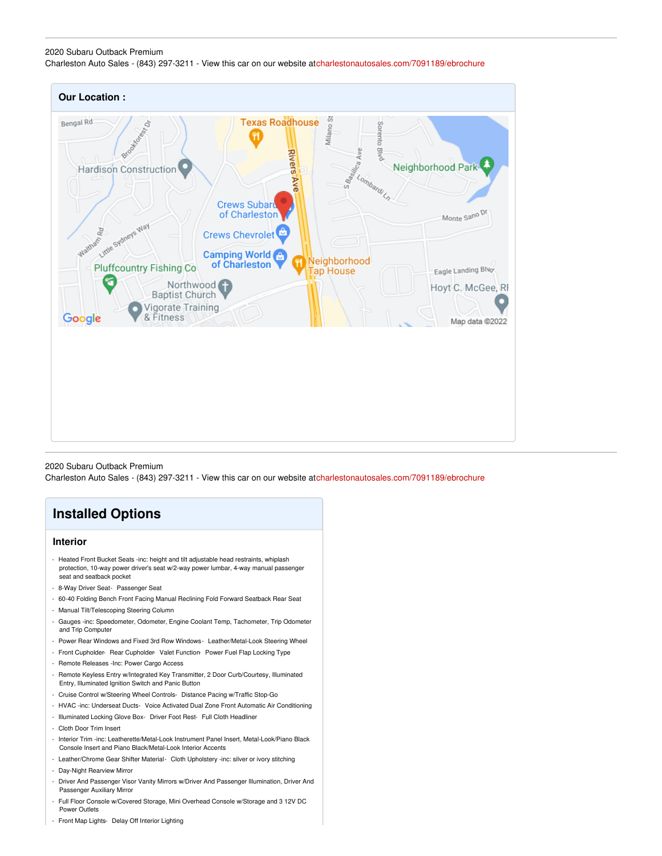### 2020 Subaru Outback Premium Charleston Auto Sales - (843) 297-3211 - View this car on our website a[tcharlestonautosales.com/7091189/ebrochure](https://charlestonautosales.com/vehicle/7091189/2020-subaru-outback-premium-charleston-sc-29406/7091189/ebrochure)



2020 Subaru Outback Premium Charleston Auto Sales - (843) 297-3211 - View this car on our website a[tcharlestonautosales.com/7091189/ebrochure](https://charlestonautosales.com/vehicle/7091189/2020-subaru-outback-premium-charleston-sc-29406/7091189/ebrochure)

### **Installed Options**

#### **Interior**

- Heated Front Bucket Seats -inc: height and tilt adjustable head restraints, whiplash protection, 10-way power driver's seat w/2-way power lumbar, 4-way manual passenger seat and seatback pocket
- 8-Way Driver Seat- Passenger Seat
- 60-40 Folding Bench Front Facing Manual Reclining Fold Forward Seatback Rear Seat
- Manual Tilt/Telescoping Steering Column
- Gauges -inc: Speedometer, Odometer, Engine Coolant Temp, Tachometer, Trip Odometer and Trip Computer
- Power Rear Windows and Fixed 3rd Row Windows- Leather/Metal-Look Steering Wheel
- Front Cupholder- Rear Cupholder- Valet Function- Power Fuel Flap Locking Type
- Remote Releases -Inc: Power Cargo Access
- Remote Keyless Entry w/Integrated Key Transmitter, 2 Door Curb/Courtesy, Illuminated Entry, Illuminated Ignition Switch and Panic Button
- Cruise Control w/Steering Wheel Controls- Distance Pacing w/Traffic Stop-Go
- HVAC -inc: Underseat Ducts- Voice Activated Dual Zone Front Automatic Air Conditioning
- Illuminated Locking Glove Box- Driver Foot Rest- Full Cloth Headliner
- Cloth Door Trim Insert
- Interior Trim -inc: Leatherette/Metal-Look Instrument Panel Insert, Metal-Look/Piano Black Console Insert and Piano Black/Metal-Look Interior Accents
- Leather/Chrome Gear Shifter Material- Cloth Upholstery -inc: silver or ivory stitching
- Day-Night Rearview Mirror
- Driver And Passenger Visor Vanity Mirrors w/Driver And Passenger Illumination, Driver And Passenger Auxiliary Mirror
- Full Floor Console w/Covered Storage, Mini Overhead Console w/Storage and 3 12V DC Power Outlets
- Front Map Lights- Delay Off Interior Lighting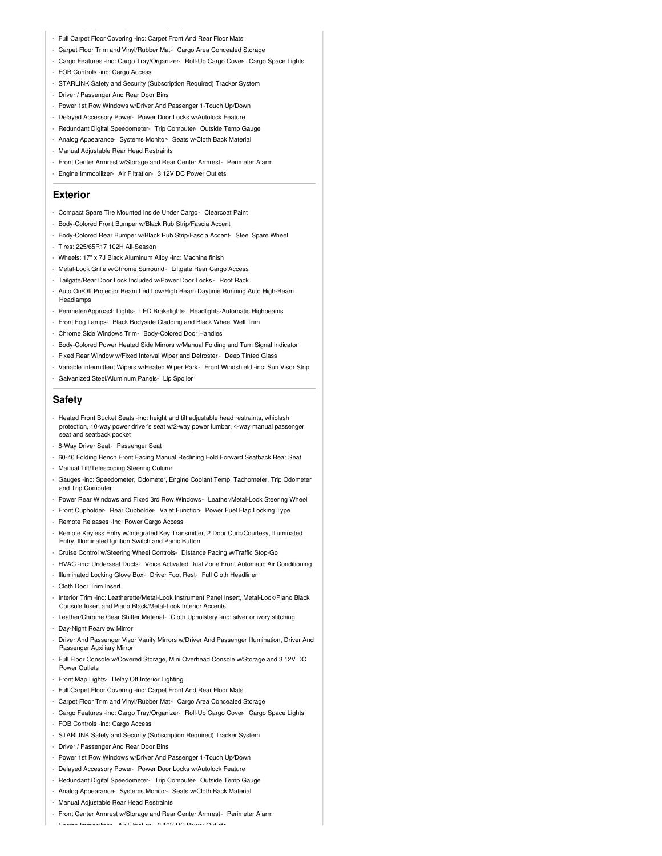- Full Carpet Floor Covering -inc: Carpet Front And Rear Floor Mats
- Carpet Floor Trim and Vinyl/Rubber Mat- Cargo Area Concealed Storage
- Cargo Features -inc: Cargo Tray/Organizer- Roll-Up Cargo Cover- Cargo Space Lights
- FOB Controls -inc: Cargo Access
- STARLINK Safety and Security (Subscription Required) Tracker System
- Driver / Passenger And Rear Door Bins
- Power 1st Row Windows w/Driver And Passenger 1-Touch Up/Down
- Delayed Accessory Power- Power Door Locks w/Autolock Feature
- Redundant Digital Speedometer- Trip Computer- Outside Temp Gauge
- Analog Appearance- Systems Monitor- Seats w/Cloth Back Material
- Manual Adjustable Rear Head Restraints
- Front Center Armrest w/Storage and Rear Center Armrest- Perimeter Alarm
- Engine Immobilizer- Air Filtration- 3 12V DC Power Outlets

### **Exterior**

- Compact Spare Tire Mounted Inside Under Cargo- Clearcoat Paint
- Body-Colored Front Bumper w/Black Rub Strip/Fascia Accent
- Body-Colored Rear Bumper w/Black Rub Strip/Fascia Accent- Steel Spare Wheel
- Tires: 225/65R17 102H All-Season
- Wheels: 17" x 7J Black Aluminum Alloy -inc: Machine finish
- Metal-Look Grille w/Chrome Surround- Liftgate Rear Cargo Access
- Tailgate/Rear Door Lock Included w/Power Door Locks Roof Rack
- Auto On/Off Projector Beam Led Low/High Beam Daytime Running Auto High-Beam Headlamps
- Perimeter/Approach Lights- LED Brakelights- Headlights-Automatic Highbeams
- Front Fog Lamps- Black Bodyside Cladding and Black Wheel Well Trim
- Chrome Side Windows Trim- Body-Colored Door Handles
- Body-Colored Power Heated Side Mirrors w/Manual Folding and Turn Signal Indicator
- Fixed Rear Window w/Fixed Interval Wiper and Defroster- Deep Tinted Glass
- Variable Intermittent Wipers w/Heated Wiper Park- Front Windshield -inc: Sun Visor Strip - Galvanized Steel/Aluminum Panels- Lip Spoiler

#### **Safety**

- Heated Front Bucket Seats -inc: height and tilt adjustable head restraints, whiplash protection, 10-way power driver's seat w/2-way power lumbar, 4-way manual passenger seat and seatback pocket
- 8-Way Driver Seat- Passenger Seat
- 60-40 Folding Bench Front Facing Manual Reclining Fold Forward Seatback Rear Seat
- Manual Tilt/Telescoping Steering Column
- Gauges -inc: Speedometer, Odometer, Engine Coolant Temp, Tachometer, Trip Odometer and Trip Computer
- Power Rear Windows and Fixed 3rd Row Windows- Leather/Metal-Look Steering Wheel
- Front Cupholder- Rear Cupholder- Valet Function- Power Fuel Flap Locking Type
- Remote Releases -Inc: Power Cargo Access
- Remote Keyless Entry w/Integrated Key Transmitter, 2 Door Curb/Courtesy, Illuminated Entry, Illuminated Ignition Switch and Panic Button
- Cruise Control w/Steering Wheel Controls- Distance Pacing w/Traffic Stop-Go
- HVAC -inc: Underseat Ducts- Voice Activated Dual Zone Front Automatic Air Conditioning
- Illuminated Locking Glove Box- Driver Foot Rest- Full Cloth Headliner
- Cloth Door Trim Insert
- Interior Trim -inc: Leatherette/Metal-Look Instrument Panel Insert, Metal-Look/Piano Black Console Insert and Piano Black/Metal-Look Interior Accents
- Leather/Chrome Gear Shifter Material- Cloth Upholstery -inc: silver or ivory stitching
- Day-Night Rearview Mirror
- Driver And Passenger Visor Vanity Mirrors w/Driver And Passenger Illumination, Driver And Passenger Auxiliary Mirror
- Full Floor Console w/Covered Storage, Mini Overhead Console w/Storage and 3 12V DC Power Outlets
- Front Map Lights- Delay Off Interior Lighting
- Full Carpet Floor Covering -inc: Carpet Front And Rear Floor Mats
- Carpet Floor Trim and Vinyl/Rubber Mat- Cargo Area Concealed Storage
- Cargo Features -inc: Cargo Tray/Organizer- Roll-Up Cargo Cover- Cargo Space Lights
- FOB Controls -inc: Cargo Access
- STARLINK Safety and Security (Subscription Required) Tracker System
- Driver / Passenger And Rear Door Bins
- Power 1st Row Windows w/Driver And Passenger 1-Touch Up/Down
- Delayed Accessory Power- Power Door Locks w/Autolock Feature
- Redundant Digital Speedometer- Trip Computer- Outside Temp Gauge
- Analog Appearance- Systems Monitor- Seats w/Cloth Back Material
- Manual Adjustable Rear Head Restraints
- Front Center Armrest w/Storage and Rear Center Armrest- Perimeter Alarm

- Engine Immobilizer- Air Filtration- 3 12V DC Power Outlets